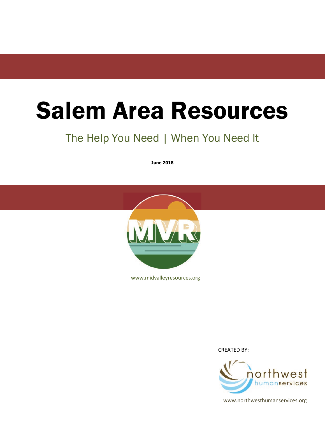## Salem Area Resources

## The Help You Need | When You Need It

**June 2018**



www.midvalleyresources.org

CREATED BY:



www.northwesthumanservices.org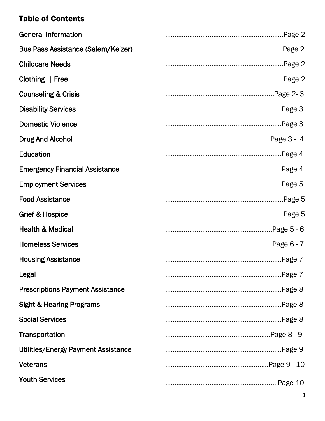## Table of Contents

| <b>General Information</b>                 |  |
|--------------------------------------------|--|
| <b>Bus Pass Assistance (Salem/Keizer)</b>  |  |
| <b>Childcare Needs</b>                     |  |
| Clothing   Free                            |  |
| <b>Counseling &amp; Crisis</b>             |  |
| <b>Disability Services</b>                 |  |
| <b>Domestic Violence</b>                   |  |
| <b>Drug And Alcohol</b>                    |  |
| <b>Education</b>                           |  |
| <b>Emergency Financial Assistance</b>      |  |
| <b>Employment Services</b>                 |  |
| <b>Food Assistance</b>                     |  |
| Grief & Hospice                            |  |
| <b>Health &amp; Medical</b>                |  |
| <b>Homeless Services</b>                   |  |
| <b>Housing Assistance</b>                  |  |
| Legal                                      |  |
| <b>Prescriptions Payment Assistance</b>    |  |
| <b>Sight &amp; Hearing Programs</b>        |  |
| <b>Social Services</b>                     |  |
| Transportation                             |  |
| <b>Utilities/Energy Payment Assistance</b> |  |
| <b>Veterans</b>                            |  |
| <b>Youth Services</b>                      |  |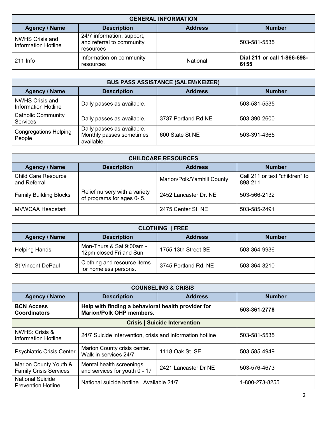| <b>GENERAL INFORMATION</b>                    |                                                                      |                |                                     |
|-----------------------------------------------|----------------------------------------------------------------------|----------------|-------------------------------------|
| <b>Agency / Name</b>                          | <b>Description</b>                                                   | <b>Address</b> | <b>Number</b>                       |
| <b>NWHS Crisis and</b><br>Information Hotline | 24/7 information, support,<br>and referral to community<br>resources |                | 503-581-5535                        |
| $211$ Info                                    | Information on community<br>resources                                | National       | Dial 211 or call 1-866-698-<br>6155 |

| <b>BUS PASS ASSISTANCE (SALEM/KEIZER)</b>            |                                                                      |                     |               |
|------------------------------------------------------|----------------------------------------------------------------------|---------------------|---------------|
| <b>Agency / Name</b>                                 | <b>Description</b>                                                   | <b>Address</b>      | <b>Number</b> |
| <b>NWHS Crisis and</b><br><b>Information Hotline</b> | Daily passes as available.                                           |                     | 503-581-5535  |
| <b>Catholic Community</b><br>Services                | Daily passes as available.                                           | 3737 Portland Rd NE | 503-390-2600  |
| <b>Congregations Helping</b><br>People               | Daily passes as available.<br>Monthly passes sometimes<br>available. | 600 State St NE     | 503-391-4365  |

| <b>CHILDCARE RESOURCES</b>                                                    |                                                            |                            |                                           |  |
|-------------------------------------------------------------------------------|------------------------------------------------------------|----------------------------|-------------------------------------------|--|
| <b>Address</b><br><b>Number</b><br><b>Agency / Name</b><br><b>Description</b> |                                                            |                            |                                           |  |
| <b>Child Care Resource</b><br>and Referral                                    |                                                            | Marion/Polk/Yamhill County | Call 211 or text "children" to<br>898-211 |  |
| <b>Family Building Blocks</b>                                                 | Relief nursery with a variety<br>of programs for ages 0-5. | 2452 Lancaster Dr. NE      | 503-566-2132                              |  |
| <b>MVWCAA Headstart</b>                                                       |                                                            | 2475 Center St. NE         | 503-585-2491                              |  |

| <b>CLOTHING   FREE</b>                                                        |                                                      |                      |              |  |
|-------------------------------------------------------------------------------|------------------------------------------------------|----------------------|--------------|--|
| <b>Agency / Name</b><br><b>Description</b><br><b>Number</b><br><b>Address</b> |                                                      |                      |              |  |
| <b>Helping Hands</b>                                                          | Mon-Thurs & Sat 9:00am -<br>12pm closed Fri and Sun  | 1755 13th Street SE  | 503-364-9936 |  |
| <b>St Vincent DePaul</b>                                                      | Clothing and resource items<br>for homeless persons. | 3745 Portland Rd. NE | 503-364-3210 |  |

| <b>COUNSELING &amp; CRISIS</b>                         |                                                                                       |                                      |                |
|--------------------------------------------------------|---------------------------------------------------------------------------------------|--------------------------------------|----------------|
| <b>Agency / Name</b>                                   | <b>Description</b>                                                                    | <b>Address</b>                       | <b>Number</b>  |
| <b>BCN Access</b><br><b>Coordinators</b>               | Help with finding a behavioral health provider for<br><b>Marion/Polk OHP members.</b> |                                      | 503-361-2778   |
|                                                        |                                                                                       | <b>Crisis   Suicide Intervention</b> |                |
| <b>NWHS: Crisis &amp;</b><br>Information Hotline       | 24/7 Suicide intervention, crisis and information hotline                             |                                      | 503-581-5535   |
| <b>Psychiatric Crisis Center</b>                       | Marion County crisis center.<br>Walk-in services 24/7                                 | 1118 Oak St. SE                      | 503-585-4949   |
| Marion County Youth &<br><b>Family Crisis Services</b> | Mental health screenings<br>2421 Lancaster Dr NE<br>and services for youth 0 - 17     |                                      | 503-576-4673   |
| <b>National Suicide</b><br><b>Prevention Hotline</b>   | National suicide hotline. Available 24/7                                              |                                      | 1-800-273-8255 |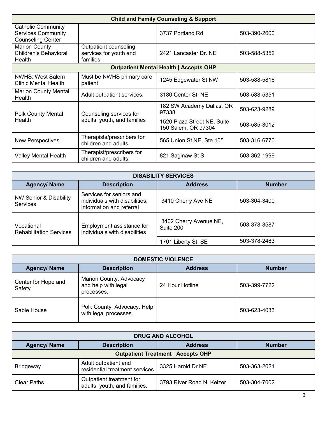| <b>Child and Family Counseling &amp; Support</b>                                   |                                                             |                                                    |              |
|------------------------------------------------------------------------------------|-------------------------------------------------------------|----------------------------------------------------|--------------|
| <b>Catholic Community</b><br><b>Services Community</b><br><b>Counseling Center</b> |                                                             | 3737 Portland Rd                                   | 503-390-2600 |
| <b>Marion County</b><br>Children's Behavioral<br>Health                            | Outpatient counseling<br>services for youth and<br>families | 2421 Lancaster Dr. NE                              | 503-588-5352 |
|                                                                                    |                                                             | <b>Outpatient Mental Health   Accepts OHP</b>      |              |
| NWHS: West Salem<br><b>Clinic Mental Health</b>                                    | Must be NWHS primary care<br>patient                        | 1245 Edgewater St NW                               | 503-588-5816 |
| <b>Marion County Mental</b><br>Health                                              | Adult outpatient services.                                  | 3180 Center St. NE                                 | 503-588-5351 |
| <b>Polk County Mental</b>                                                          | Counseling services for                                     | 182 SW Academy Dallas, OR<br>97338                 | 503-623-9289 |
| Health                                                                             | adults, youth, and families                                 | 1520 Plaza Street NE, Suite<br>150 Salem, OR 97304 | 503-585-3012 |
| <b>New Perspectives</b>                                                            | Therapists/prescribers for<br>children and adults.          | 565 Union St NE, Ste 105                           | 503-316-6770 |
| Valley Mental Health                                                               | Therapist/prescribers for<br>children and adults.           | 821 Saginaw St S                                   | 503-362-1999 |

| <b>DISABILITY SERVICES</b>                   |                                                                                        |                                     |              |  |  |
|----------------------------------------------|----------------------------------------------------------------------------------------|-------------------------------------|--------------|--|--|
| <b>Agency/ Name</b>                          | <b>Address</b><br><b>Number</b><br><b>Description</b>                                  |                                     |              |  |  |
| NW Senior & Disability<br><b>Services</b>    | Services for seniors and<br>individuals with disabilities;<br>information and referral | 3410 Cherry Ave NE                  | 503-304-3400 |  |  |
| Vocational<br><b>Rehabilitation Services</b> | Employment assistance for<br>individuals with disabilities                             | 3402 Cherry Avenue NE,<br>Suite 200 | 503-378-3587 |  |  |
|                                              |                                                                                        | 1701 Liberty St. SE                 | 503-378-2483 |  |  |

| <b>DOMESTIC VIOLENCE</b>      |                                                              |                 |               |
|-------------------------------|--------------------------------------------------------------|-----------------|---------------|
| <b>Agency/ Name</b>           | <b>Description</b>                                           | <b>Address</b>  | <b>Number</b> |
| Center for Hope and<br>Safety | Marion County. Advocacy<br>and help with legal<br>processes. | 24 Hour Hotline | 503-399-7722  |
| Sable House                   | Polk County. Advocacy. Help<br>with legal processes.         |                 | 503-623-4033  |

| <b>DRUG AND ALCOHOL</b>                                                                                                     |                                                        |                   |               |  |
|-----------------------------------------------------------------------------------------------------------------------------|--------------------------------------------------------|-------------------|---------------|--|
| <b>Agency/ Name</b>                                                                                                         | <b>Description</b>                                     | <b>Address</b>    | <b>Number</b> |  |
| <b>Outpatient Treatment   Accepts OHP</b>                                                                                   |                                                        |                   |               |  |
| <b>Bridgeway</b>                                                                                                            | Adult outpatient and<br>residential treatment services | 3325 Harold Dr NE | 503-363-2021  |  |
| Outpatient treatment for<br>3793 River Road N, Keizer<br><b>Clear Paths</b><br>503-304-7002<br>adults, youth, and families. |                                                        |                   |               |  |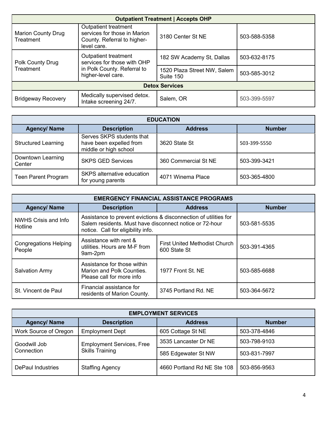| <b>Outpatient Treatment   Accepts OHP</b> |                                                                                                          |                                          |              |
|-------------------------------------------|----------------------------------------------------------------------------------------------------------|------------------------------------------|--------------|
| <b>Marion County Drug</b><br>Treatment    | Outpatient treatment<br>services for those in Marion<br>County. Referral to higher-<br>level care.       | 3180 Center St NE                        | 503-588-5358 |
| <b>Polk County Drug</b><br>Treatment      | Outpatient treatment<br>services for those with OHP<br>in Polk County. Referral to<br>higher-level care. | 182 SW Academy St, Dallas                | 503-632-8175 |
|                                           |                                                                                                          | 1520 Plaza Street NW, Salem<br>Suite 150 | 503-585-3012 |
| <b>Detox Services</b>                     |                                                                                                          |                                          |              |
| <b>Bridgeway Recovery</b>                 | Medically supervised detox.<br>Intake screening 24/7.                                                    | Salem, OR                                | 503-399-5597 |

| <b>EDUCATION</b>            |                                                                               |                      |               |
|-----------------------------|-------------------------------------------------------------------------------|----------------------|---------------|
| <b>Agency/ Name</b>         | <b>Description</b>                                                            | <b>Address</b>       | <b>Number</b> |
| <b>Structured Learning</b>  | Serves SKPS students that<br>have been expelled from<br>middle or high school | 3620 State St        | 503-399-5550  |
| Downtown Learning<br>Center | <b>SKPS GED Services</b>                                                      | 360 Commercial St NE | 503-399-3421  |
| <b>Teen Parent Program</b>  | SKPS alternative education<br>for young parents                               | 4071 Winema Place    | 503-365-4800  |

| <b>EMERGENCY FINANCIAL ASSISTANCE PROGRAMS</b> |                                                                                                                                                                   |                                                      |               |  |
|------------------------------------------------|-------------------------------------------------------------------------------------------------------------------------------------------------------------------|------------------------------------------------------|---------------|--|
| <b>Agency/ Name</b>                            | <b>Description</b>                                                                                                                                                | <b>Address</b>                                       | <b>Number</b> |  |
| NWHS Crisis and Info<br>Hotline                | Assistance to prevent evictions & disconnection of utilities for<br>Salem residents. Must have disconnect notice or 72-hour<br>notice. Call for eligibility info. | 503-581-5535                                         |               |  |
| <b>Congregations Helping</b><br>People         | Assistance with rent &<br>utilities. Hours are M-F from<br>9am-2pm                                                                                                | <b>First United Methodist Church</b><br>600 State St | 503-391-4365  |  |
| <b>Salvation Army</b>                          | Assistance for those within<br>Marion and Polk Counties.<br>Please call for more info                                                                             | 1977 Front St. NE                                    | 503-585-6688  |  |
| St. Vincent de Paul                            | Financial assistance for<br>residents of Marion County.                                                                                                           | 3745 Portland Rd. NE                                 | 503-364-5672  |  |

| <b>EMPLOYMENT SERVICES</b> |                                                            |                             |               |  |
|----------------------------|------------------------------------------------------------|-----------------------------|---------------|--|
| <b>Agency/ Name</b>        | <b>Description</b>                                         | <b>Address</b>              | <b>Number</b> |  |
| Work Source of Oregon      | <b>Employment Dept</b>                                     | 605 Cottage St NE           | 503-378-4846  |  |
| Goodwill Job<br>Connection | <b>Employment Services, Free</b><br><b>Skills Training</b> | 3535 Lancaster Dr NE        | 503-798-9103  |  |
|                            |                                                            | 585 Edgewater St NW         | 503-831-7997  |  |
| <b>DePaul Industries</b>   | <b>Staffing Agency</b>                                     | 4660 Portland Rd NE Ste 108 | 503-856-9563  |  |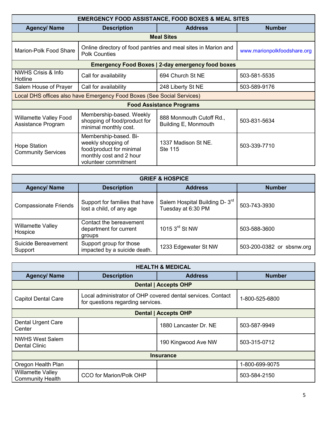| <b>EMERGENCY FOOD ASSISTANCE, FOOD BOXES &amp; MEAL SITES</b> |                                                                                                                            |                                                          |                             |  |
|---------------------------------------------------------------|----------------------------------------------------------------------------------------------------------------------------|----------------------------------------------------------|-----------------------------|--|
| <b>Agency/ Name</b>                                           | <b>Description</b>                                                                                                         | <b>Address</b>                                           | <b>Number</b>               |  |
|                                                               |                                                                                                                            | <b>Meal Sites</b>                                        |                             |  |
| Marion-Polk Food Share                                        | Online directory of food pantries and meal sites in Marion and<br><b>Polk Counties</b>                                     |                                                          | www.marionpolkfoodshare.org |  |
|                                                               |                                                                                                                            | <b>Emergency Food Boxes   2-day emergency food boxes</b> |                             |  |
| <b>NWHS Crisis &amp; Info</b><br>Hotline                      | Call for availability                                                                                                      | 694 Church St NE                                         | 503-581-5535                |  |
| Salem House of Prayer                                         | Call for availability                                                                                                      | 248 Liberty St NE                                        | 503-589-9176                |  |
|                                                               | Local DHS offices also have Emergency Food Boxes (See Social Services)                                                     |                                                          |                             |  |
| <b>Food Assistance Programs</b>                               |                                                                                                                            |                                                          |                             |  |
| <b>Willamette Valley Food</b><br>Assistance Program           | Membership-based. Weekly<br>shopping of food/product for<br>minimal monthly cost.                                          | 888 Monmouth Cutoff Rd.,<br>Building E, Monmouth         | 503-831-5634                |  |
| <b>Hope Station</b><br><b>Community Services</b>              | Membership-based. Bi-<br>weekly shopping of<br>food/product for minimal<br>monthly cost and 2 hour<br>volunteer commitment | 1337 Madison St NE.<br><b>Ste 115</b>                    | 503-339-7710                |  |

| <b>GRIEF &amp; HOSPICE</b>          |                                                             |                                                                  |                           |  |
|-------------------------------------|-------------------------------------------------------------|------------------------------------------------------------------|---------------------------|--|
| <b>Agency/ Name</b>                 | <b>Description</b>                                          | <b>Address</b>                                                   | <b>Number</b>             |  |
| <b>Compassionate Friends</b>        | Support for families that have<br>lost a child, of any age  | Salem Hospital Building D- 3 <sup>rd</sup><br>Tuesday at 6:30 PM | 503-743-3930              |  |
| <b>Willamette Valley</b><br>Hospice | Contact the bereavement<br>department for current<br>groups | 1015 3rd St NW                                                   | 503-588-3600              |  |
| Suicide Bereavement<br>Support      | Support group for those<br>impacted by a suicide death.     | 1233 Edgewater St NW                                             | 503-200-0382 or sbsnw.org |  |

| <b>HEALTH &amp; MEDICAL</b>                         |                                                                                                  |                             |                |
|-----------------------------------------------------|--------------------------------------------------------------------------------------------------|-----------------------------|----------------|
| <b>Agency/ Name</b>                                 | <b>Description</b>                                                                               | <b>Address</b>              | <b>Number</b>  |
|                                                     |                                                                                                  | <b>Dental   Accepts OHP</b> |                |
| <b>Capitol Dental Care</b>                          | Local administrator of OHP covered dental services. Contact<br>for questions regarding services. |                             | 1-800-525-6800 |
| <b>Dental   Accepts OHP</b>                         |                                                                                                  |                             |                |
| <b>Dental Urgent Care</b><br>Center                 |                                                                                                  | 1880 Lancaster Dr. NE       | 503-587-9949   |
| <b>NWHS West Salem</b><br><b>Dental Clinic</b>      |                                                                                                  | 190 Kingwood Ave NW         | 503-315-0712   |
| <b>Insurance</b>                                    |                                                                                                  |                             |                |
| Oregon Health Plan                                  |                                                                                                  |                             | 1-800-699-9075 |
| <b>Willamette Valley</b><br><b>Community Health</b> | <b>CCO for Marion/Polk OHP</b>                                                                   |                             | 503-584-2150   |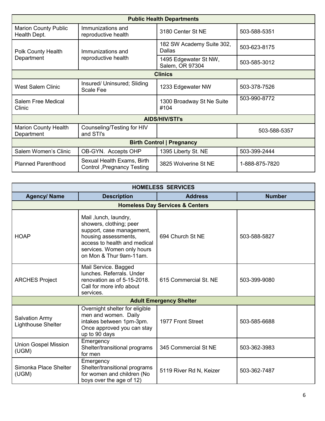| <b>Public Health Departments</b>            |                                                           |                                            |                |
|---------------------------------------------|-----------------------------------------------------------|--------------------------------------------|----------------|
| <b>Marion County Public</b><br>Health Dept. | Immunizations and<br>reproductive health                  | 3180 Center St NE                          | 503-588-5351   |
| Polk County Health                          | Immunizations and                                         | 182 SW Academy Suite 302,<br><b>Dallas</b> | 503-623-8175   |
| Department                                  | reproductive health                                       | 1495 Edgewater St NW,<br>Salem, OR 97304   | 503-585-3012   |
| <b>Clinics</b>                              |                                                           |                                            |                |
| <b>West Salem Clinic</b>                    | Insured/ Uninsured; Sliding<br>Scale Fee                  | 1233 Edgewater NW                          | 503-378-7526   |
| Salem Free Medical<br>Clinic                |                                                           | 1300 Broadway St Ne Suite<br>#104          | 503-990-8772   |
|                                             |                                                           | <b>AIDS/HIV/STI's</b>                      |                |
| <b>Marion County Health</b><br>Department   | Counseling/Testing for HIV<br>and STI's                   |                                            | 503-588-5357   |
| <b>Birth Control   Pregnancy</b>            |                                                           |                                            |                |
| Salem Women's Clinic                        | OB-GYN. Accepts OHP                                       | 1395 Liberty St. NE                        | 503-399-2444   |
| <b>Planned Parenthood</b>                   | Sexual Health Exams, Birth<br>Control , Pregnancy Testing | 3825 Wolverine St NE                       | 1-888-875-7820 |

| <b>HOMELESS SERVICES</b>                    |                                                                                                                                                                                                |                                            |               |
|---------------------------------------------|------------------------------------------------------------------------------------------------------------------------------------------------------------------------------------------------|--------------------------------------------|---------------|
| <b>Agency/ Name</b>                         | <b>Description</b>                                                                                                                                                                             | <b>Address</b>                             | <b>Number</b> |
|                                             |                                                                                                                                                                                                | <b>Homeless Day Services &amp; Centers</b> |               |
| <b>HOAP</b>                                 | Mail, lunch, laundry,<br>showers, clothing; peer<br>support, case management,<br>housing assessments,<br>access to health and medical<br>services. Women only hours<br>on Mon & Thur 9am-11am. | 694 Church St NE                           | 503-588-5827  |
| <b>ARCHES Project</b>                       | Mail Service. Bagged<br>lunches. Referrals. Under<br>renovation as of 5-15-2018.<br>Call for more info about<br>services.                                                                      | 615 Commercial St. NE                      | 503-399-9080  |
|                                             |                                                                                                                                                                                                | <b>Adult Emergency Shelter</b>             |               |
| <b>Salvation Army</b><br>Lighthouse Shelter | Overnight shelter for eligible<br>men and women. Daily<br>intakes between 1pm-3pm.<br>Once approved you can stay<br>up to 90 days                                                              | 1977 Front Street                          | 503-585-6688  |
| <b>Union Gospel Mission</b><br>(UGM)        | Emergency<br>Shelter/transitional programs<br>for men                                                                                                                                          | 345 Commercial St NE                       | 503-362-3983  |
| Simonka Place Shelter<br>(UGM)              | Emergency<br>Shelter/transitional programs<br>for women and children (No<br>boys over the age of 12)                                                                                           | 5119 River Rd N, Keizer                    | 503-362-7487  |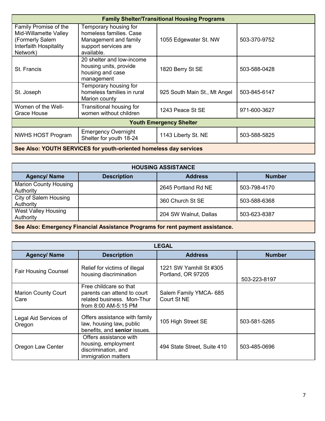| <b>Family Shelter/Transitional Housing Programs</b>                                                     |                                                                                                                 |                              |              |
|---------------------------------------------------------------------------------------------------------|-----------------------------------------------------------------------------------------------------------------|------------------------------|--------------|
| Family Promise of the<br>Mid-Willamette Valley<br>(Formerly Salem<br>Interfaith Hospitality<br>Network) | Temporary housing for<br>homeless families. Case<br>Management and family<br>support services are<br>available. | 1055 Edgewater St. NW        | 503-370-9752 |
| St. Francis                                                                                             | 20 shelter and low-income<br>housing units, provide<br>housing and case<br>management                           | 1820 Berry St SE             | 503-588-0428 |
| St. Joseph                                                                                              | Temporary housing for<br>homeless families in rural<br>Marion county                                            | 925 South Main St., Mt Angel | 503-845-6147 |
| Women of the Well-<br>Grace House                                                                       | Transitional housing for<br>women without children                                                              | 1243 Peace St SE             | 971-600-3627 |
| <b>Youth Emergency Shelter</b>                                                                          |                                                                                                                 |                              |              |
| <b>NWHS HOST Program</b>                                                                                | <b>Emergency Overnight</b><br>Shelter for youth 18-24                                                           | 1143 Liberty St. NE          | 503-588-5825 |
| See Also: YOUTH SERVICES for youth-oriented homeless day services                                       |                                                                                                                 |                              |              |

| <b>HOUSING ASSISTANCE</b>                                                      |                    |                       |               |
|--------------------------------------------------------------------------------|--------------------|-----------------------|---------------|
| <b>Agency/ Name</b>                                                            | <b>Description</b> | <b>Address</b>        | <b>Number</b> |
| <b>Marion County Housing</b><br>Authority                                      |                    | 2645 Portland Rd NE   | 503-798-4170  |
| City of Salem Housing<br>Authority                                             |                    | 360 Church St SE      | 503-588-6368  |
| <b>West Valley Housing</b><br>Authority                                        |                    | 204 SW Walnut, Dallas | 503-623-8387  |
| See Also: Emergency Financial Assistance Programs for rent payment assistance. |                    |                       |               |

| <b>LEGAL</b>                       |                                                                                                             |                                               |               |
|------------------------------------|-------------------------------------------------------------------------------------------------------------|-----------------------------------------------|---------------|
| <b>Agency/ Name</b>                | <b>Description</b>                                                                                          | <b>Address</b>                                | <b>Number</b> |
| <b>Fair Housing Counsel</b>        | Relief for victims of illegal<br>housing discrimination                                                     | 1221 SW Yamhill St #305<br>Portland, OR 97205 | 503-223-8197  |
| <b>Marion County Court</b><br>Care | Free childcare so that<br>parents can attend to court<br>related business. Mon-Thur<br>from 8:00 AM-5:15 PM | Salem Family YMCA- 685<br>Court St NE         |               |
| Legal Aid Services of<br>Oregon    | Offers assistance with family<br>law, housing law, public<br>benefits, and senior issues.                   | 105 High Street SE                            | 503-581-5265  |
| Oregon Law Center                  | Offers assistance with<br>housing, employment<br>discrimination, and<br>immigration matters                 | 494 State Street, Suite 410                   | 503-485-0696  |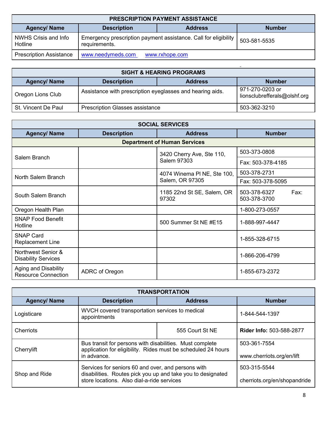| <b>PRESCRIPTION PAYMENT ASSISTANCE</b> |                                                                                  |                |               |  |
|----------------------------------------|----------------------------------------------------------------------------------|----------------|---------------|--|
| <b>Agency/ Name</b>                    | <b>Description</b>                                                               | <b>Address</b> | <b>Number</b> |  |
| NWHS Crisis and Info<br>Hotline        | Emergency prescription payment assistance. Call for eligibility<br>requirements. |                | 503-581-5535  |  |
| <b>Prescription Assistance</b>         | www.needymeds.com                                                                | www.rxhope.com |               |  |

| <b>SIGHT &amp; HEARING PROGRAMS</b> |                                                           |                |                                                 |
|-------------------------------------|-----------------------------------------------------------|----------------|-------------------------------------------------|
| <b>Agency/ Name</b>                 | <b>Description</b>                                        | <b>Address</b> | <b>Number</b>                                   |
| Oregon Lions Club                   | Assistance with prescription eyeglasses and hearing aids. |                | 971-270-0203 or<br>lionsclubrefferals@olshf.org |
| St. Vincent De Paul                 | <b>Prescription Glasses assistance</b>                    |                | 503-362-3210                                    |

L

| <b>SOCIAL SERVICES</b>                                    |                    |                                          |                                      |
|-----------------------------------------------------------|--------------------|------------------------------------------|--------------------------------------|
| <b>Agency/ Name</b>                                       | <b>Description</b> | <b>Address</b>                           | <b>Number</b>                        |
|                                                           |                    | <b>Department of Human Services</b>      |                                      |
| Salem Branch                                              |                    | 3420 Cherry Ave, Ste 110,<br>Salem 97303 | 503-373-0808                         |
|                                                           |                    |                                          | Fax: 503-378-4185                    |
| North Salem Branch                                        |                    | 4074 Winema PI NE, Ste 100,              | 503-378-2731                         |
|                                                           |                    | Salem, OR 97305                          | Fax: 503-378-5095                    |
| South Salem Branch                                        |                    | 1185 22nd St SE, Salem, OR<br>97302      | 503-378-6327<br>Fax:<br>503-378-3700 |
| Oregon Health Plan                                        |                    |                                          | 1-800-273-0557                       |
| <b>SNAP Food Benefit</b><br>Hotline                       |                    | 500 Summer St NE #E15                    | 1-888-997-4447                       |
| <b>SNAP Card</b><br><b>Replacement Line</b>               |                    |                                          | 1-855-328-6715                       |
| Northwest Senior &<br><b>Disability Services</b>          |                    |                                          | 1-866-206-4799                       |
| <b>Aging and Disability</b><br><b>Resource Connection</b> | ADRC of Oregon     |                                          | 1-855-673-2372                       |

| <b>TRANSPORTATION</b> |                                                                                                                                                                 |                 |                                              |
|-----------------------|-----------------------------------------------------------------------------------------------------------------------------------------------------------------|-----------------|----------------------------------------------|
| <b>Agency/ Name</b>   | <b>Description</b>                                                                                                                                              | <b>Address</b>  | <b>Number</b>                                |
| Logisticare           | WVCH covered transportation services to medical<br>appointments                                                                                                 |                 | 1-844-544-1397                               |
| Cherriots             |                                                                                                                                                                 | 555 Court St NE | <b>Rider Info: 503-588-2877</b>              |
| Cherrylift            | Bus transit for persons with disabilities. Must complete<br>application for eligibility. Rides must be scheduled 24 hours<br>in advance.                        |                 | 503-361-7554<br>www.cherriots.org/en/lift    |
| Shop and Ride         | Services for seniors 60 and over, and persons with<br>disabilities. Routes pick you up and take you to designated<br>store locations. Also dial-a-ride services |                 | 503-315-5544<br>cherriots.org/en/shopandride |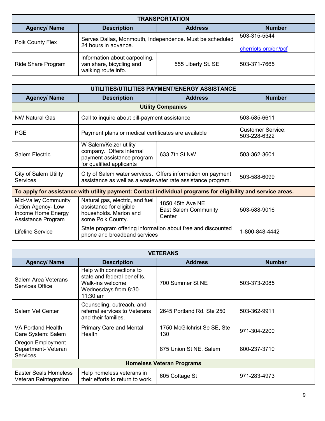| <b>TRANSPORTATION</b>     |                                                                                  |                    |                                      |
|---------------------------|----------------------------------------------------------------------------------|--------------------|--------------------------------------|
| <b>Agency/ Name</b>       | <b>Description</b>                                                               | <b>Address</b>     | <b>Number</b>                        |
| Polk County Flex          | Serves Dallas, Monmouth, Independence. Must be scheduled<br>24 hours in advance. |                    | 503-315-5544<br>cherriots.org/en/pcf |
| <b>Ride Share Program</b> | Information about carpooling,<br>van share, bicycling and<br>walking route info. | 555 Liberty St. SE | 503-371-7665                         |

| UTILITIES/UTILITIES PAYMENT/ENERGY ASSISTANCE                                                                |                                                                                                                            |                                                           |                                          |
|--------------------------------------------------------------------------------------------------------------|----------------------------------------------------------------------------------------------------------------------------|-----------------------------------------------------------|------------------------------------------|
| <b>Agency/ Name</b>                                                                                          | <b>Description</b>                                                                                                         | <b>Address</b>                                            | <b>Number</b>                            |
|                                                                                                              |                                                                                                                            | <b>Utility Companies</b>                                  |                                          |
| <b>NW Natural Gas</b>                                                                                        | Call to inquire about bill-payment assistance                                                                              |                                                           | 503-585-6611                             |
| <b>PGE</b>                                                                                                   | Payment plans or medical certificates are available                                                                        |                                                           | <b>Customer Service:</b><br>503-228-6322 |
| <b>Salem Electric</b>                                                                                        | W Salem/Keizer utility<br>company. Offers internal<br>payment assistance program<br>for qualified applicants               | 633 7th St NW                                             | 503-362-3601                             |
| <b>City of Salem Utility</b><br><b>Services</b>                                                              | City of Salem water services. Offers information on payment<br>assistance as well as a wastewater rate assistance program. |                                                           | 503-588-6099                             |
| To apply for assistance with utility payment: Contact individual programs for eligibility and service areas. |                                                                                                                            |                                                           |                                          |
| <b>Mid-Valley Community</b><br><b>Action Agency-Low</b><br>Income Home Energy<br>Assistance Program          | Natural gas, electric, and fuel<br>assistance for eligible<br>households. Marion and<br>some Polk County.                  | 1850 45th Ave NE<br><b>East Salem Community</b><br>Center | 503-588-9016                             |
| Lifeline Service                                                                                             | State program offering information about free and discounted<br>phone and broadband services                               |                                                           | 1-800-848-4442                           |

| <b>VETERANS</b>                                             |                                                                                                                    |                                    |               |
|-------------------------------------------------------------|--------------------------------------------------------------------------------------------------------------------|------------------------------------|---------------|
| <b>Agency/ Name</b>                                         | <b>Description</b>                                                                                                 | <b>Address</b>                     | <b>Number</b> |
| <b>Salem Area Veterans</b><br>Services Office               | Help with connections to<br>state and federal benefits.<br>Walk-ins welcome<br>Wednesdays from 8:30-<br>$11:30$ am | 700 Summer St NE                   | 503-373-2085  |
| Salem Vet Center                                            | Counseling, outreach, and<br>referral services to Veterans<br>and their families.                                  | 2645 Portland Rd. Ste 250          | 503-362-9911  |
| VA Portland Health<br>Care System: Salem                    | <b>Primary Care and Mental</b><br><b>Health</b>                                                                    | 1750 McGilchrist Se SE, Ste<br>130 | 971-304-2200  |
| Oregon Employment<br>Department- Veteran<br><b>Services</b> |                                                                                                                    | 875 Union St NE, Salem             | 800-237-3710  |
| <b>Homeless Veteran Programs</b>                            |                                                                                                                    |                                    |               |
| Easter Seals Homeless<br>Veteran Reintegration              | Help homeless veterans in<br>their efforts to return to work.                                                      | 605 Cottage St                     | 971-283-4973  |